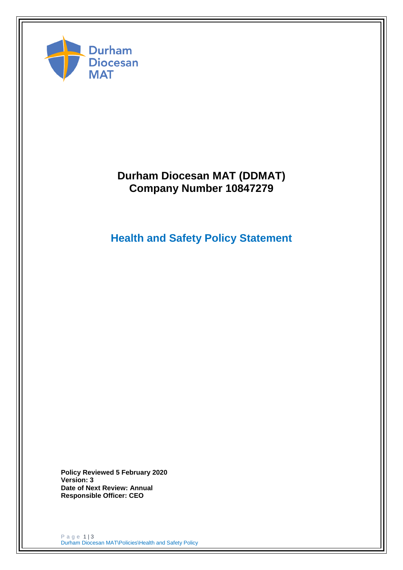

# **Durham Diocesan MAT (DDMAT) Company Number 10847279**

# **Health and Safety Policy Statement**

**Policy Reviewed 5 February 2020 Version: 3 Date of Next Review: Annual Responsible Officer: CEO**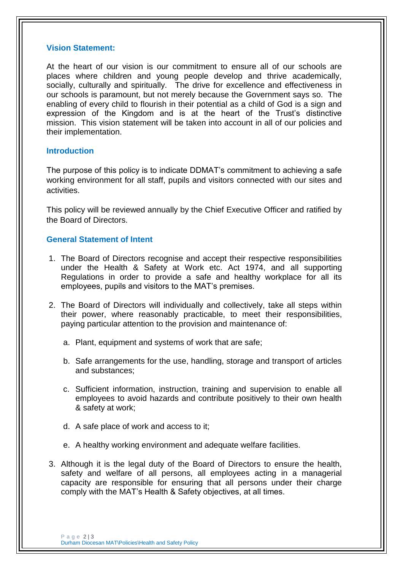#### **Vision Statement:**

At the heart of our vision is our commitment to ensure all of our schools are places where children and young people develop and thrive academically, socially, culturally and spiritually. The drive for excellence and effectiveness in our schools is paramount, but not merely because the Government says so. The enabling of every child to flourish in their potential as a child of God is a sign and expression of the Kingdom and is at the heart of the Trust's distinctive mission. This vision statement will be taken into account in all of our policies and their implementation.

## **Introduction**

The purpose of this policy is to indicate DDMAT's commitment to achieving a safe working environment for all staff, pupils and visitors connected with our sites and activities.

This policy will be reviewed annually by the Chief Executive Officer and ratified by the Board of Directors.

## **General Statement of Intent**

- 1. The Board of Directors recognise and accept their respective responsibilities under the Health & Safety at Work etc. Act 1974, and all supporting Regulations in order to provide a safe and healthy workplace for all its employees, pupils and visitors to the MAT's premises.
- 2. The Board of Directors will individually and collectively, take all steps within their power, where reasonably practicable, to meet their responsibilities, paying particular attention to the provision and maintenance of:
	- a. Plant, equipment and systems of work that are safe;
	- b. Safe arrangements for the use, handling, storage and transport of articles and substances;
	- c. Sufficient information, instruction, training and supervision to enable all employees to avoid hazards and contribute positively to their own health & safety at work;
	- d. A safe place of work and access to it;
	- e. A healthy working environment and adequate welfare facilities.
- 3. Although it is the legal duty of the Board of Directors to ensure the health, safety and welfare of all persons, all employees acting in a managerial capacity are responsible for ensuring that all persons under their charge comply with the MAT's Health & Safety objectives, at all times.